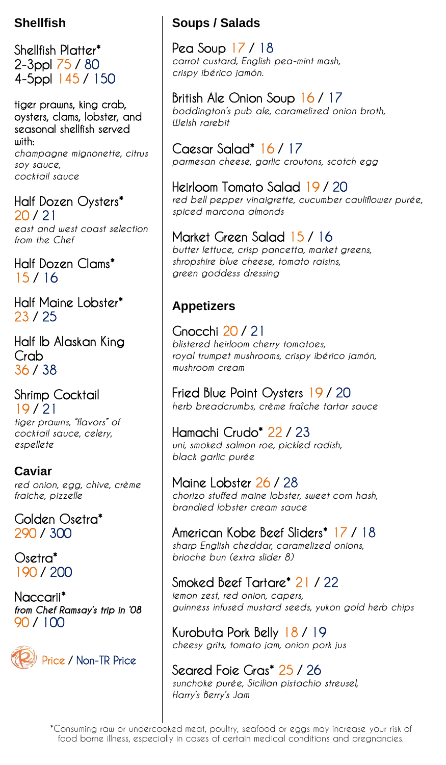### **Shellfish**

Shellfish Platter\* 2-3ppl 75 / 80 4-5ppl 145 / 150

tiger prawns, king crab, oysters, clams, lobster, and seasonal shellfish served with:

*champagne mignonette, citrus soy sauce, cocktail sauce* 

Half Dozen Oysters\*

20 / 21 *east and west coast selection from the Chef*

Half Dozen Clams\* 15 / 16

Half Maine Lobster\* 23 / 25

Half lb Alaskan King Crab 36 / 38

Shrimp Cocktail 19 / 21 *tiger prawns, "flavors" of cocktail sauce, celery, espellete*

**Caviar**  *red onion, egg, chive, crème fraiche, pizzelle*

Golden Osetra\* 290 / 300

Osetra\* 190 / 200

Naccarii\* *from Chef Ramsay's trip in '08* 90 / 100



# **Soups / Salads**

Pea Soup 17 / 18 *carrot custard, English pea-mint mash, crispy ibérico jamón.* 

British Ale Onion Soup 16 / 17 *boddington's pub ale, caramelized onion broth, Welsh rarebit*

Caesar Salad\* 16 / 17 *parmesan cheese, garlic croutons, scotch egg* 

Heirloom Tomato Salad 19 / 20

*red bell pepper vinaigrette, cucumber cauliflower purée, spiced marcona almonds*

## Market Green Salad 15 / 16

*butter lettuce, crisp pancetta, market greens, shropshire blue cheese, tomato raisins, green goddess dressing*

# **Appetizers**

Gnocchi 20 / 21 *blistered heirloom cherry tomatoes, royal trumpet mushrooms, crispy ibérico jamón, mushroom cream*

Fried Blue Point Oysters 19 / 20 *herb breadcrumbs, crème fraîche tartar sauce* 

Hamachi Crudo\* 22 / 23 *uni, smoked salmon roe, pickled radish, black garlic purée* 

Maine Lobster 26 / 28 *chorizo stuffed maine lobster, sweet corn hash, brandied lobster cream sauce*

American Kobe Beef Sliders\* 17 / 18 *sharp English cheddar, caramelized onions, brioche bun (extra slider 8)*

### Smoked Beef Tartare\* 21 / 22

*lemon zest, red onion, capers, guinness infused mustard seeds, yukon gold herb chips*

Kurobuta Pork Belly 18 / 19 *cheesy grits, tomato jam, onion pork jus*

Seared Foie Gras\* 25 / 26 *sunchoke purée, Sicilian pistachio streusel, Harry's Berry's Jam*

\*Consuming raw or undercooked meat, poultry, seafood or eggs may increase your risk of food borne illness, especially in cases of certain medical conditions and pregnancies.